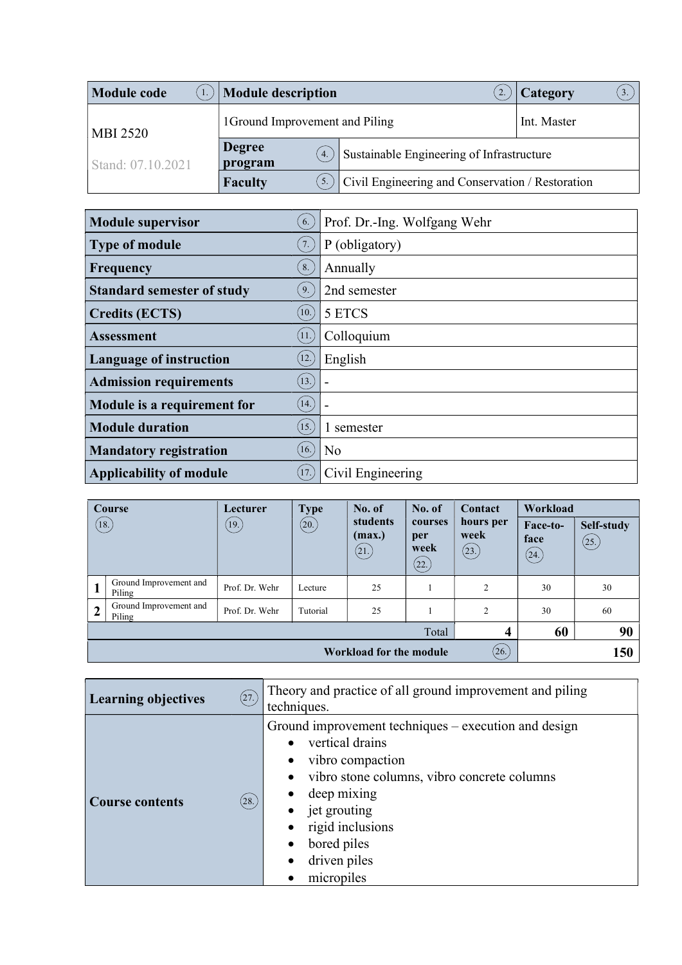| <b>Module code</b> | <b>Module description</b>       |                                                  | Category |
|--------------------|---------------------------------|--------------------------------------------------|----------|
| <b>MBI 2520</b>    | 1 Ground Improvement and Piling | Int. Master                                      |          |
| Stand: 07.10.2021  | <b>Degree</b><br>4.<br>program  | Sustainable Engineering of Infrastructure        |          |
|                    | <b>Faculty</b><br>5.            | Civil Engineering and Conservation / Restoration |          |

| <b>Module supervisor</b>          | 6.                | Prof. Dr.-Ing. Wolfgang Wehr |
|-----------------------------------|-------------------|------------------------------|
| <b>Type of module</b>             | 7.                | P (obligatory)               |
| Frequency                         | 8.                | Annually                     |
| <b>Standard semester of study</b> | 9.                | 2nd semester                 |
| <b>Credits (ECTS)</b>             | $\left(10\right)$ | 5 ETCS                       |
| Assessment                        | (11)              | Colloquium                   |
| <b>Language of instruction</b>    | [12.]             | English                      |
| <b>Admission requirements</b>     | (13.)             |                              |
| Module is a requirement for       | (14.)             |                              |
| <b>Module duration</b>            | (15.)             | 1 semester                   |
| <b>Mandatory registration</b>     | 16.               | N <sub>o</sub>               |
| <b>Applicability of module</b>    | (17.)             | Civil Engineering            |

|                | Course                           | Lecturer       | <b>Type</b> | No. of                     | No. of                          | Contact                    | Workload                 |                     |
|----------------|----------------------------------|----------------|-------------|----------------------------|---------------------------------|----------------------------|--------------------------|---------------------|
|                | (18.)                            | (19.)          | (20.)       | students<br>(max.)<br>(21) | courses<br>per<br>week<br>(22.) | hours per<br>week<br>(23.) | Face-to-<br>face<br>(24) | Self-study<br>(25.) |
|                | Ground Improvement and<br>Piling | Prof. Dr. Wehr | Lecture     | 25                         |                                 | $\overline{2}$             | 30                       | 30                  |
| $\overline{2}$ | Ground Improvement and<br>Piling | Prof. Dr. Wehr | Tutorial    | 25                         |                                 | 2                          | 30                       | 60                  |
|                |                                  |                |             |                            | Total                           | 4                          | 60                       | 90                  |
|                | (26.)<br>Workload for the module |                |             |                            |                                 | 150                        |                          |                     |

| (27.)                           | Theory and practice of all ground improvement and piling                                                                                                                                                                                   |  |
|---------------------------------|--------------------------------------------------------------------------------------------------------------------------------------------------------------------------------------------------------------------------------------------|--|
| <b>Learning objectives</b>      | techniques.                                                                                                                                                                                                                                |  |
| (28.)<br><b>Course contents</b> | Ground improvement techniques – execution and design<br>vertical drains<br>vibro compaction<br>vibro stone columns, vibro concrete columns<br>deep mixing<br>jet grouting<br>rigid inclusions<br>bored piles<br>driven piles<br>micropiles |  |